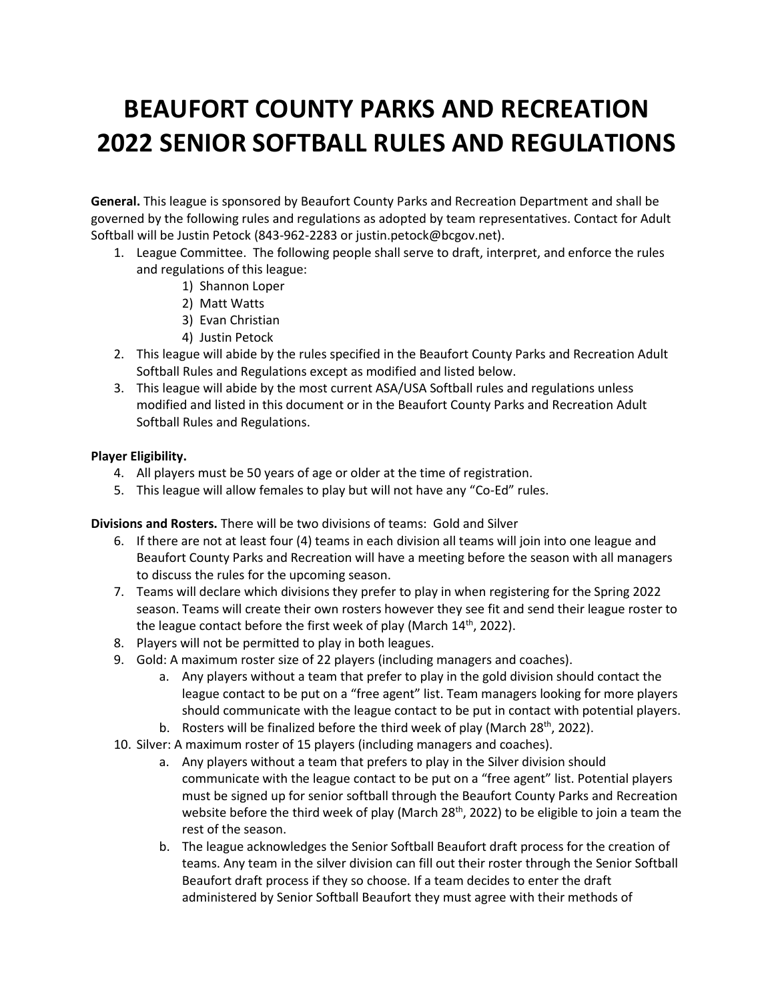## **BEAUFORT COUNTY PARKS AND RECREATION 2022 SENIOR SOFTBALL RULES AND REGULATIONS**

**General.** This league is sponsored by Beaufort County Parks and Recreation Department and shall be governed by the following rules and regulations as adopted by team representatives. Contact for Adult Softball will be Justin Petock (843-962-2283 or justin.petock@bcgov.net).

- 1. League Committee. The following people shall serve to draft, interpret, and enforce the rules and regulations of this league:
	- 1) Shannon Loper
	- 2) Matt Watts
	- 3) Evan Christian
	- 4) Justin Petock
- 2. This league will abide by the rules specified in the Beaufort County Parks and Recreation Adult Softball Rules and Regulations except as modified and listed below.
- 3. This league will abide by the most current ASA/USA Softball rules and regulations unless modified and listed in this document or in the Beaufort County Parks and Recreation Adult Softball Rules and Regulations.

## **Player Eligibility.**

- 4. All players must be 50 years of age or older at the time of registration.
- 5. This league will allow females to play but will not have any "Co-Ed" rules.

**Divisions and Rosters.** There will be two divisions of teams: Gold and Silver

- 6. If there are not at least four (4) teams in each division all teams will join into one league and Beaufort County Parks and Recreation will have a meeting before the season with all managers to discuss the rules for the upcoming season.
- 7. Teams will declare which divisions they prefer to play in when registering for the Spring 2022 season. Teams will create their own rosters however they see fit and send their league roster to the league contact before the first week of play (March  $14<sup>th</sup>$ , 2022).
- 8. Players will not be permitted to play in both leagues.
- 9. Gold: A maximum roster size of 22 players (including managers and coaches).
	- a. Any players without a team that prefer to play in the gold division should contact the league contact to be put on a "free agent" list. Team managers looking for more players should communicate with the league contact to be put in contact with potential players.
	- b. Rosters will be finalized before the third week of play (March 28<sup>th</sup>, 2022).
- 10. Silver: A maximum roster of 15 players (including managers and coaches).
	- a. Any players without a team that prefers to play in the Silver division should communicate with the league contact to be put on a "free agent" list. Potential players must be signed up for senior softball through the Beaufort County Parks and Recreation website before the third week of play (March 28<sup>th</sup>, 2022) to be eligible to join a team the rest of the season.
	- b. The league acknowledges the Senior Softball Beaufort draft process for the creation of teams. Any team in the silver division can fill out their roster through the Senior Softball Beaufort draft process if they so choose. If a team decides to enter the draft administered by Senior Softball Beaufort they must agree with their methods of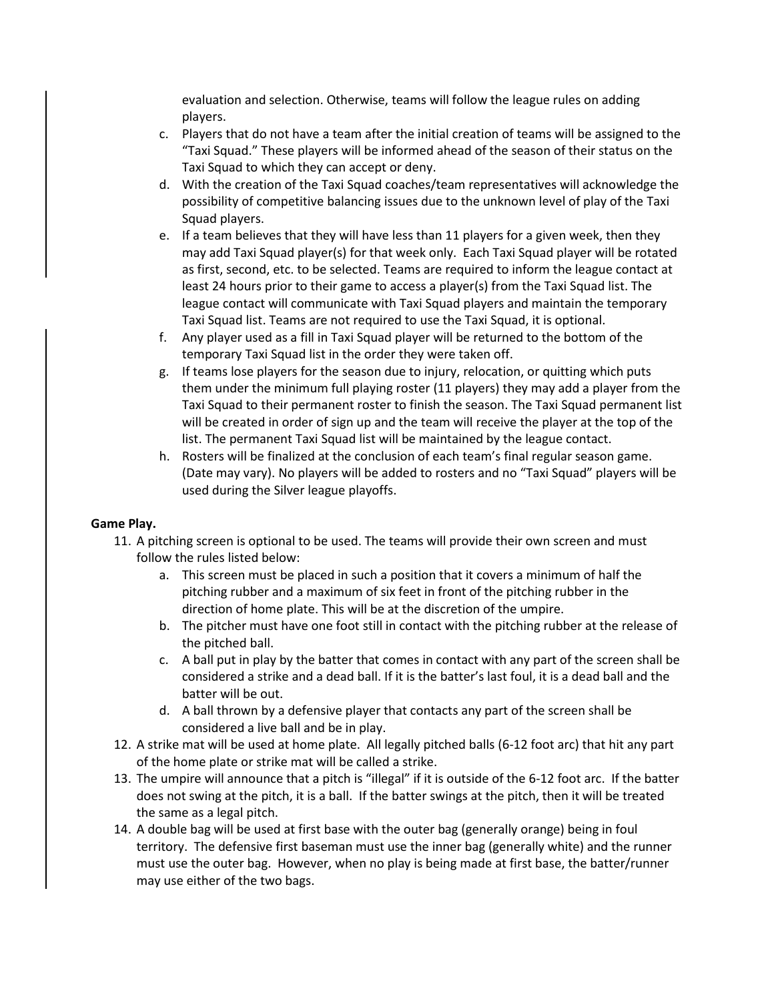evaluation and selection. Otherwise, teams will follow the league rules on adding players.

- c. Players that do not have a team after the initial creation of teams will be assigned to the "Taxi Squad." These players will be informed ahead of the season of their status on the Taxi Squad to which they can accept or deny.
- d. With the creation of the Taxi Squad coaches/team representatives will acknowledge the possibility of competitive balancing issues due to the unknown level of play of the Taxi Squad players.
- e. If a team believes that they will have less than 11 players for a given week, then they may add Taxi Squad player(s) for that week only. Each Taxi Squad player will be rotated as first, second, etc. to be selected. Teams are required to inform the league contact at least 24 hours prior to their game to access a player(s) from the Taxi Squad list. The league contact will communicate with Taxi Squad players and maintain the temporary Taxi Squad list. Teams are not required to use the Taxi Squad, it is optional.
- f. Any player used as a fill in Taxi Squad player will be returned to the bottom of the temporary Taxi Squad list in the order they were taken off.
- g. If teams lose players for the season due to injury, relocation, or quitting which puts them under the minimum full playing roster (11 players) they may add a player from the Taxi Squad to their permanent roster to finish the season. The Taxi Squad permanent list will be created in order of sign up and the team will receive the player at the top of the list. The permanent Taxi Squad list will be maintained by the league contact.
- h. Rosters will be finalized at the conclusion of each team's final regular season game. (Date may vary). No players will be added to rosters and no "Taxi Squad" players will be used during the Silver league playoffs.

## **Game Play.**

- 11. A pitching screen is optional to be used. The teams will provide their own screen and must follow the rules listed below:
	- a. This screen must be placed in such a position that it covers a minimum of half the pitching rubber and a maximum of six feet in front of the pitching rubber in the direction of home plate. This will be at the discretion of the umpire.
	- b. The pitcher must have one foot still in contact with the pitching rubber at the release of the pitched ball.
	- c. A ball put in play by the batter that comes in contact with any part of the screen shall be considered a strike and a dead ball. If it is the batter's last foul, it is a dead ball and the batter will be out.
	- d. A ball thrown by a defensive player that contacts any part of the screen shall be considered a live ball and be in play.
- 12. A strike mat will be used at home plate. All legally pitched balls (6-12 foot arc) that hit any part of the home plate or strike mat will be called a strike.
- 13. The umpire will announce that a pitch is "illegal" if it is outside of the 6-12 foot arc. If the batter does not swing at the pitch, it is a ball. If the batter swings at the pitch, then it will be treated the same as a legal pitch.
- 14. A double bag will be used at first base with the outer bag (generally orange) being in foul territory. The defensive first baseman must use the inner bag (generally white) and the runner must use the outer bag. However, when no play is being made at first base, the batter/runner may use either of the two bags.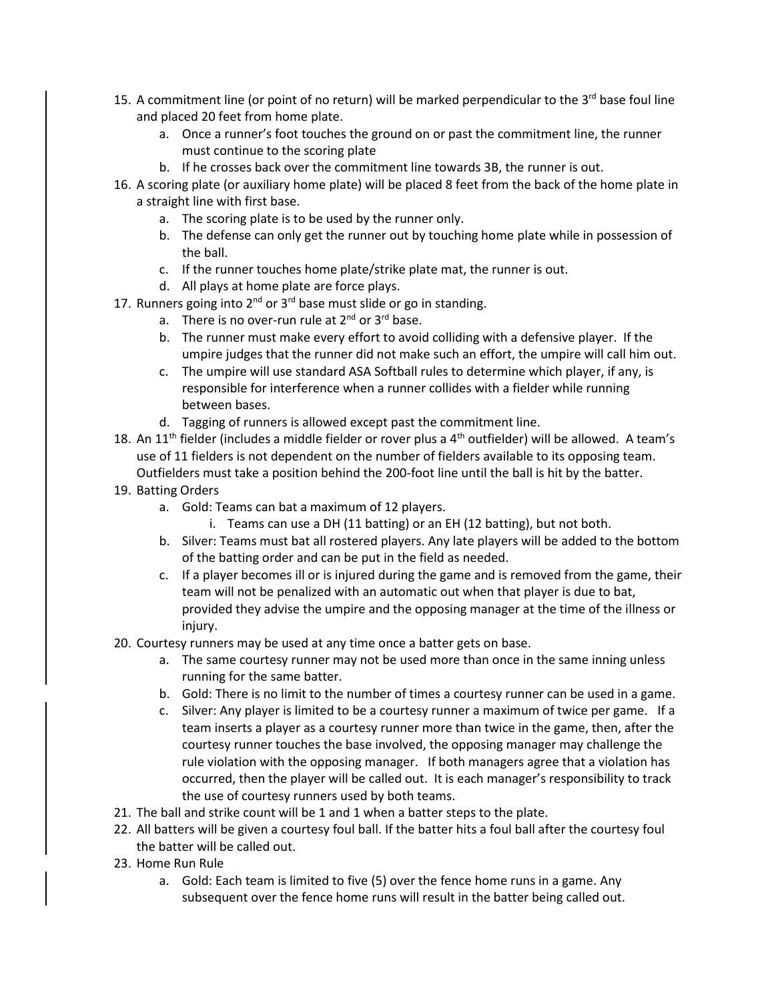- 15. A commitment line (or point of no return) will be marked perpendicular to the 3<sup>rd</sup> base foul line and placed 20 feet from home plate.
	- a. Once a runner's foot touches the ground on or past the commitment line, the runner must continue to the scoring plate
	- b. If he crosses back over the commitment line towards 3B, the runner is out.
- 16. A scoring plate (or auxiliary home plate) will be placed 8 feet from the back of the home plate in a straight line with first base.
	- a. The scoring plate is to be used by the runner only.
	- b. The defense can only get the runner out by touching home plate while in possession of the ball.
	- c. If the runner touches home plate/strike plate mat, the runner is out.
	- d. All plays at home plate are force plays.
- 17. Runners going into  $2^{nd}$  or  $3^{rd}$  base must slide or go in standing.
	- a. There is no over-run rule at  $2^{nd}$  or  $3^{rd}$  base.
	- b. The runner must make every effort to avoid colliding with a defensive player. If the umpire judges that the runner did not make such an effort, the umpire will call him out.
	- c. The umpire will use standard ASA Softball rules to determine which player, if any, is responsible for interference when a runner collides with a fielder while running between bases.
	- d. Tagging of runners is allowed except past the commitment line.
- 18. An 11<sup>th</sup> fielder (includes a middle fielder or rover plus a  $4<sup>th</sup>$  outfielder) will be allowed. A team's use of 11 fielders is not dependent on the number of fielders available to its opposing team. Outfielders must take a position behind the 200-foot line until the ball is hit by the batter.
- 19. Batting Orders
	- a. Gold: Teams can bat a maximum of 12 players.
		- i. Teams can use a DH (11 batting) or an EH (12 batting), but not both.
	- b. Silver: Teams must bat all rostered players. Any late players will be added to the bottom of the batting order and can be put in the field as needed.
	- c. If a player becomes ill or is injured during the game and is removed from the game, their team will not be penalized with an automatic out when that player is due to bat, provided they advise the umpire and the opposing manager at the time of the illness or injury.
- 20. Courtesy runners may be used at any time once a batter gets on base.
	- a. The same courtesy runner may not be used more than once in the same inning unless running for the same batter.
	- b. Gold: There is no limit to the number of times a courtesy runner can be used in a game.
	- c. Silver: Any player is limited to be a courtesy runner a maximum of twice per game. If a team inserts a player as a courtesy runner more than twice in the game, then, after the courtesy runner touches the base involved, the opposing manager may challenge the rule violation with the opposing manager. If both managers agree that a violation has occurred, then the player will be called out. It is each manager's responsibility to track the use of courtesy runners used by both teams.
- 21. The ball and strike count will be 1 and 1 when a batter steps to the plate.
- 22. All batters will be given a courtesy foul ball. If the batter hits a foul ball after the courtesy foul the batter will be called out.
- 23. Home Run Rule
	- a. Gold: Each team is limited to five (5) over the fence home runs in a game. Any subsequent over the fence home runs will result in the batter being called out.